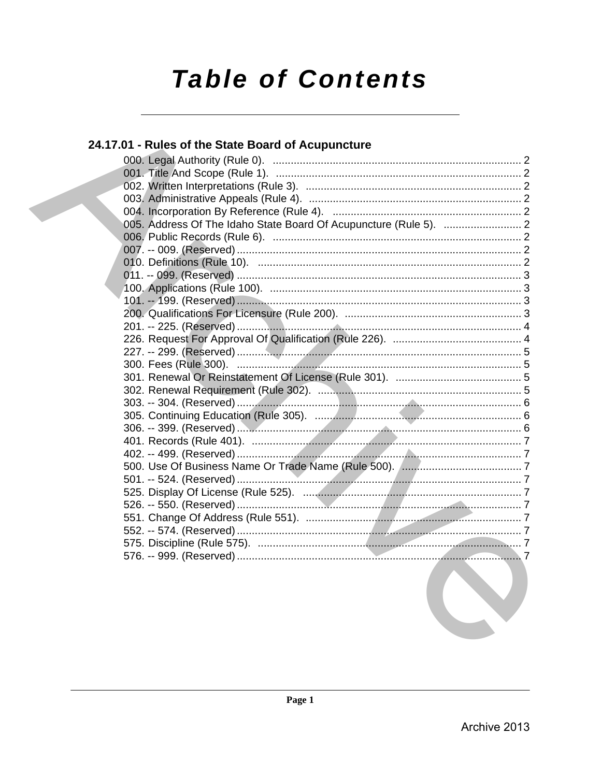# **Table of Contents**

# 24.17.01 - Rules of the State Board of Acupuncture

| the contract of the contract of the contract of the contract of the contract of the contract of the contract of |  |
|-----------------------------------------------------------------------------------------------------------------|--|
|                                                                                                                 |  |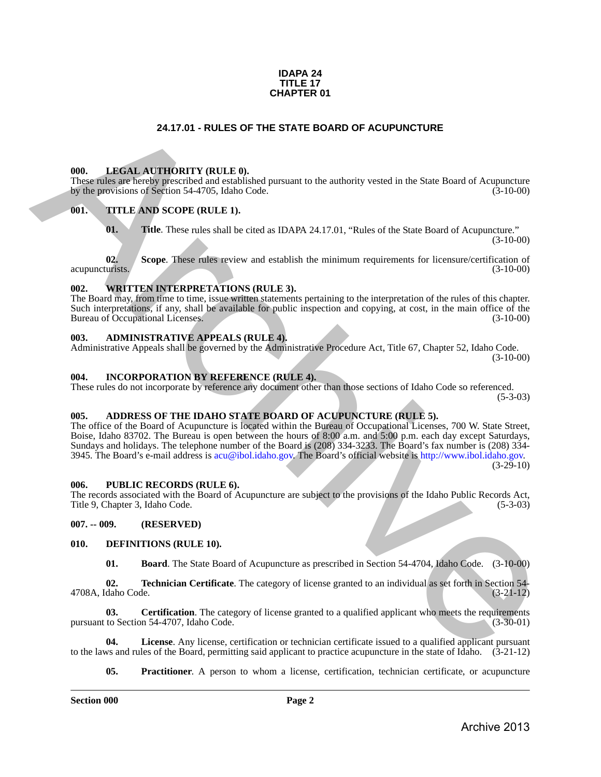#### **IDAPA 24 TITLE 17 CHAPTER 01**

### **24.17.01 - RULES OF THE STATE BOARD OF ACUPUNCTURE**

#### <span id="page-1-1"></span>**000. LEGAL AUTHORITY (RULE 0).**

These rules are hereby prescribed and established pursuant to the authority vested in the State Board of Acupuncture by the provisions of Section 54-4705, Idaho Code. (3-10-00) by the provisions of Section 54-4705, Idaho Code.

#### <span id="page-1-2"></span>**001. TITLE AND SCOPE (RULE 1).**

**01. Title**. These rules shall be cited as IDAPA 24.17.01, "Rules of the State Board of Acupuncture."  $(3-10-00)$ 

**02.** Scope. These rules review and establish the minimum requirements for licensure/certification of urists. (3-10-00) acupuncturists.

### <span id="page-1-3"></span>**002. WRITTEN INTERPRETATIONS (RULE 3).**

The Board may, from time to time, issue written statements pertaining to the interpretation of the rules of this chapter. Such interpretations, if any, shall be available for public inspection and copying, at cost, in the main office of the Bureau of Occupational Licenses. (3-10-00) Bureau of Occupational Licenses.

#### <span id="page-1-4"></span>**003. ADMINISTRATIVE APPEALS (RULE 4).**

Administrative Appeals shall be governed by the Administrative Procedure Act, Title 67, Chapter 52, Idaho Code. (3-10-00)

#### <span id="page-1-5"></span>**004. INCORPORATION BY REFERENCE (RULE 4).**

These rules do not incorporate by reference any document other than those sections of Idaho Code so referenced.  $(5-3-03)$ 

## <span id="page-1-6"></span>**005. ADDRESS OF THE IDAHO STATE BOARD OF ACUPUNCTURE (RULE 5).**

<span id="page-1-0"></span>The office of the Board of Acupuncture is located within the Bureau of Occupational Licenses, 700 W. State Street, Boise, Idaho 83702. The Bureau is open between the hours of 8:00 a.m. and 5:00 p.m. each day except Saturdays, Sundays and holidays. The telephone number of the Board is (208) 334-3233. The Board's fax number is (208) 334- 3945. The Board's e-mail address is acu@ibol.idaho.gov. The Board's official website is http://www.ibol.idaho.gov. (3-29-10) 24.17.01 • RULES OF THE STATE BOARD OF ACUPUNCTURE<br>
THE INSERTENT INTERFERENCE IN A CONSULTABLE TRANSPORTED TO A CONSULTABLE TRANSPORTED TO A CONSULTABLE TRANSPORTED TO A CONSULTABLE TRANSPORTED TO A CONSULTABLE TO A CONS

# <span id="page-1-7"></span>**006. PUBLIC RECORDS (RULE 6).**

The records associated with the Board of Acupuncture are subject to the provisions of the Idaho Public Records Act, Title 9, Chapter 3, Idaho Code.

#### <span id="page-1-8"></span>**007. -- 009. (RESERVED)**

#### <span id="page-1-9"></span>**010. DEFINITIONS (RULE 10).**

<span id="page-1-15"></span><span id="page-1-12"></span><span id="page-1-11"></span><span id="page-1-10"></span>**01. Board**. The State Board of Acupuncture as prescribed in Section 54-4704, Idaho Code. (3-10-00)

**02. Technician Certificate**. The category of license granted to an individual as set forth in Section 54-<br>(3-21-12) 4708A, Idaho Code.

**03.** Certification. The category of license granted to a qualified applicant who meets the requirements to Section 54-4707. Idaho Code. pursuant to Section 54-4707, Idaho Code.

**04. License**. Any license, certification or technician certificate issued to a qualified applicant pursuant to the laws and rules of the Board, permitting said applicant to practice acupuncture in the state of Idaho. (3-21-12)

<span id="page-1-14"></span><span id="page-1-13"></span>**05. Practitioner**. A person to whom a license, certification, technician certificate, or acupuncture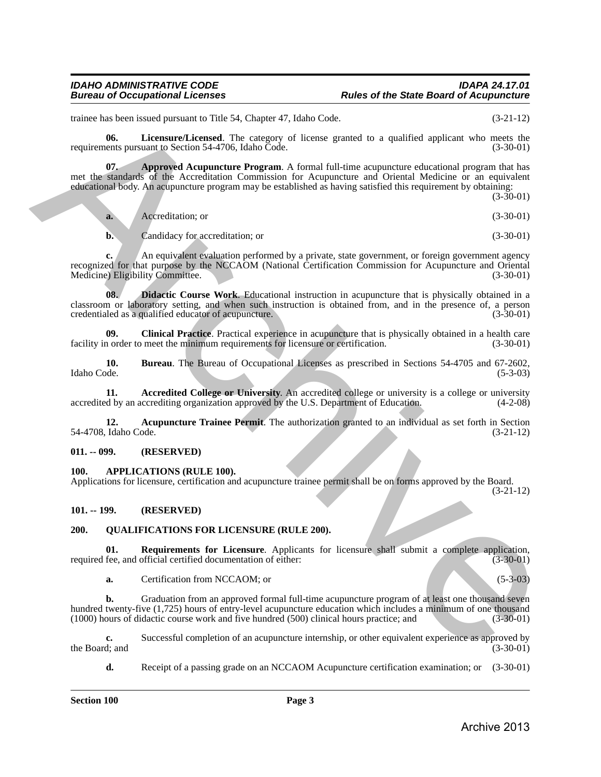### *IDAHO ADMINISTRATIVE CODE IDAPA 24.17.01* **Rules of the State Board of Acupuncture**

trainee has been issued pursuant to Title 54, Chapter 47, Idaho Code. (3-21-12)

<span id="page-2-11"></span>**06.** Licensure/Licensed. The category of license granted to a qualified applicant who meets the ents pursuant to Section 54-4706. Idaho Code. (3-30-01) requirements pursuant to Section 54-4706, Idaho Code.

<span id="page-2-7"></span>**07. Approved Acupuncture Program**. A formal full-time acupuncture educational program that has met the standards of the Accreditation Commission for Acupuncture and Oriental Medicine or an equivalent educational body. An acupuncture program may be established as having satisfied this requirement by obtaining:

(3-30-01) **a.** Accreditation; or (3-30-01) raine based particular in This 54, Couper 3, Habel Columns and the material particular solutions and the second strength of the second properties the control of the second strength of the second strength of the second str

<span id="page-2-10"></span>**b.** Candidacy for accreditation; or (3-30-01)

**c.** An equivalent evaluation performed by a private, state government, or foreign government agency recognized for that purpose by the NCCAOM (National Certification Commission for Acupuncture and Oriental Medicine) Eligibility Committee. (3-30-01) Medicine) Eligibility Committee.

**08. Didactic Course Work**. Educational instruction in acupuncture that is physically obtained in a classroom or laboratory setting, and when such instruction is obtained from, and in the presence of, a person credentialed as a qualified educator of acupuncture. credentialed as a qualified educator of acupuncture.

<span id="page-2-9"></span>**09.** Clinical Practice. Practical experience in acupuncture that is physically obtained in a health care n order to meet the minimum requirements for licensure or certification. (3-30-01) facility in order to meet the minimum requirements for licensure or certification.

<span id="page-2-8"></span>**10. 10. Bureau**. The Bureau of Occupational Licenses as prescribed in Sections 54-4705 and 67-2602, Idaho Code. (5-3-03) Idaho Code. (5-3-03)

<span id="page-2-5"></span>**11.** Accredited College or University. An accredited college or university is a college or university d by an accrediting organization approved by the U.S. Department of Education.  $(4-2-08)$ accredited by an accrediting organization approved by the U.S. Department of Education.

<span id="page-2-6"></span>**12.** Acupuncture Trainee Permit. The authorization granted to an individual as set forth in Section Idaho Code. (3-21-12) 54-4708, Idaho Code.

#### <span id="page-2-0"></span>**011. -- 099. (RESERVED)**

#### <span id="page-2-4"></span><span id="page-2-1"></span>**100. APPLICATIONS (RULE 100).**

Applications for licensure, certification and acupuncture trainee permit shall be on forms approved by the Board.

(3-21-12)

### <span id="page-2-2"></span>**101. -- 199. (RESERVED)**

### <span id="page-2-12"></span><span id="page-2-3"></span>**200. QUALIFICATIONS FOR LICENSURE (RULE 200).**

**01.** Requirements for Licensure. Applicants for licensure shall submit a complete application, fee. and official certified documentation of either: (3-30-01) required fee, and official certified documentation of either:

<span id="page-2-13"></span>**a.** Certification from NCCAOM; or (5-3-03)

**b.** Graduation from an approved formal full-time acupuncture program of at least one thousand seven hundred twenty-five (1,725) hours of entry-level acupuncture education which includes a minimum of one thousand (1000) hours of didactic course work and five hundred (500) clinical hours practice; and (3-30-01)

**c.** Successful completion of an acupuncture internship, or other equivalent experience as approved by the Board; and (3-30-01) the Board; and  $(3-30-01)$ 

**d.** Receipt of a passing grade on an NCCAOM Acupuncture certification examination; or (3-30-01)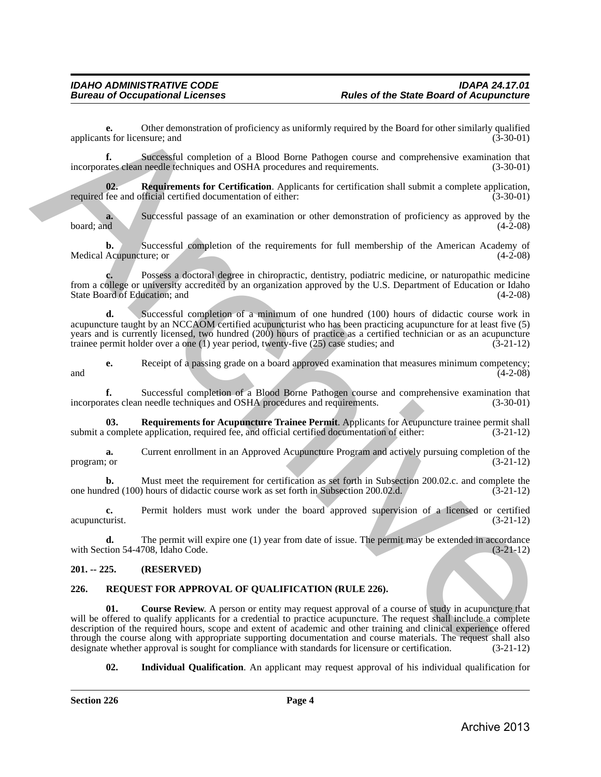**e.** Other demonstration of proficiency as uniformly required by the Board for other similarly qualified ts for licensure: and (3-30-01) applicants for licensure; and

**f.** Successful completion of a Blood Borne Pathogen course and comprehensive examination that ates clean needle techniques and OSHA procedures and requirements. (3-30-01) incorporates clean needle techniques and OSHA procedures and requirements.

<span id="page-3-3"></span>**Requirements for Certification**. Applicants for certification shall submit a complete application, fficial certified documentation of either: (3-30-01) required fee and official certified documentation of either:

**a.** Successful passage of an examination or other demonstration of proficiency as approved by the board; and (4-2-08) board; and  $(4-2-08)$ 

**b.** Successful completion of the requirements for full membership of the American Academy of Medical Acupuncture; or  $(4-2-08)$ 

**c.** Possess a doctoral degree in chiropractic, dentistry, podiatric medicine, or naturopathic medicine from a college or university accredited by an organization approved by the U.S. Department of Education or Idaho State Board of Education; and (4-2-08)

**d.** Successful completion of a minimum of one hundred (100) hours of didactic course work in acupuncture taught by an NCCAOM certified acupuncturist who has been practicing acupuncture for at least five (5) years and is currently licensed, two hundred (200) hours of practice as a certified technician or as an acupuncture trainee permit holder over a one (1) year period, twenty-five (25) case studies; and (3-21-12)

**e.** Receipt of a passing grade on a board approved examination that measures minimum competency;<br>(4-2-08)  $(4-2-08)$ 

**f.** Successful completion of a Blood Borne Pathogen course and comprehensive examination that incorporates clean needle techniques and OSHA procedures and requirements. (3-30-01)

<span id="page-3-2"></span>**03.** Requirements for Acupuncture Trainee Permit. Applicants for Acupuncture trainee permit shall complete application, required fee, and official certified documentation of either:  $(3-21-12)$ submit a complete application, required fee, and official certified documentation of either:

**a.** Current enrollment in an Approved Acupuncture Program and actively pursuing completion of the program; or  $(3-21-12)$ 

**b.** Must meet the requirement for certification as set forth in Subsection 200.02.c. and complete the lred (100) hours of didactic course work as set forth in Subsection 200.02.d. (3-21-12) one hundred (100) hours of didactic course work as set forth in Subsection 200.02.d.

**c.** Permit holders must work under the board approved supervision of a licensed or certified turist. (3-21-12) acupuncturist.

**d.** The permit will expire one (1) year from date of issue. The permit may be extended in accordance tion 54-4708, Idaho Code. (3-21-12) with Section 54-4708, Idaho Code.

#### <span id="page-3-0"></span>**201. -- 225. (RESERVED)**

### <span id="page-3-5"></span><span id="page-3-4"></span><span id="page-3-1"></span>**226. REQUEST FOR APPROVAL OF QUALIFICATION (RULE 226).**

**01.** Course Review. A person or entity may request approval of a course of study in acupuncture that will be offered to qualify applicants for a credential to practice acupuncture. The request shall include a complete description of the required hours, scope and extent of academic and other training and clinical experience offered through the course along with appropriate supporting documentation and course materials. The request shall also<br>designate whether approval is sought for compliance with standards for licensure or certification. (3-21-12) designate whether approval is sought for compliance with standards for licensure or certification. applicants for the<br>other demonstration of profit encyclosical symptomlet by the Board for educational<br>telescope is the completion of a Blood Board Fullippin course and computerizative examination that<br>the computer of the

<span id="page-3-6"></span>**02. Individual Qualification**. An applicant may request approval of his individual qualification for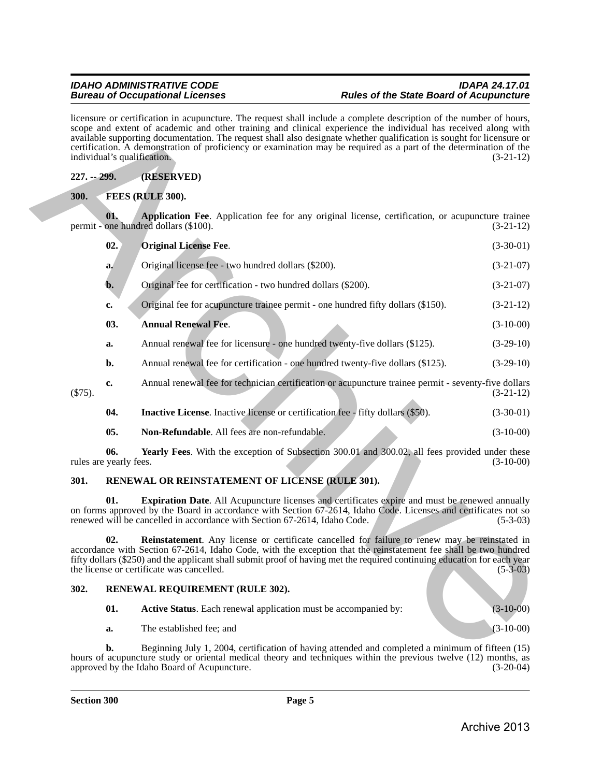<span id="page-4-9"></span><span id="page-4-6"></span><span id="page-4-4"></span><span id="page-4-1"></span><span id="page-4-0"></span>

| licensure or certification in acupuncture. The request shall include a complete description of the number of hours,<br>scope and extent of academic and other training and clinical experience the individual has received along with<br>available supporting documentation. The request shall also designate whether qualification is sought for licensure or<br>certification. A demonstration of proficiency or examination may be required as a part of the determination of the<br>individual's qualification.<br>$(3-21-12)$ |                                                                                                                                                                 |                                                                                                                                                                                                                                                                                                                                                                                           |             |  |  |
|------------------------------------------------------------------------------------------------------------------------------------------------------------------------------------------------------------------------------------------------------------------------------------------------------------------------------------------------------------------------------------------------------------------------------------------------------------------------------------------------------------------------------------|-----------------------------------------------------------------------------------------------------------------------------------------------------------------|-------------------------------------------------------------------------------------------------------------------------------------------------------------------------------------------------------------------------------------------------------------------------------------------------------------------------------------------------------------------------------------------|-------------|--|--|
| $227. - 299.$<br>(RESERVED)                                                                                                                                                                                                                                                                                                                                                                                                                                                                                                        |                                                                                                                                                                 |                                                                                                                                                                                                                                                                                                                                                                                           |             |  |  |
| <b>300.</b>                                                                                                                                                                                                                                                                                                                                                                                                                                                                                                                        |                                                                                                                                                                 | FEES (RULE 300).                                                                                                                                                                                                                                                                                                                                                                          |             |  |  |
|                                                                                                                                                                                                                                                                                                                                                                                                                                                                                                                                    | 01.<br>Application Fee. Application fee for any original license, certification, or acupuncture trainee<br>permit - one hundred dollars (\$100).<br>$(3-21-12)$ |                                                                                                                                                                                                                                                                                                                                                                                           |             |  |  |
|                                                                                                                                                                                                                                                                                                                                                                                                                                                                                                                                    | 02.                                                                                                                                                             | <b>Original License Fee.</b>                                                                                                                                                                                                                                                                                                                                                              | $(3-30-01)$ |  |  |
|                                                                                                                                                                                                                                                                                                                                                                                                                                                                                                                                    | a.                                                                                                                                                              | Original license fee - two hundred dollars (\$200).                                                                                                                                                                                                                                                                                                                                       | $(3-21-07)$ |  |  |
|                                                                                                                                                                                                                                                                                                                                                                                                                                                                                                                                    | b.                                                                                                                                                              | Original fee for certification - two hundred dollars (\$200).                                                                                                                                                                                                                                                                                                                             | $(3-21-07)$ |  |  |
|                                                                                                                                                                                                                                                                                                                                                                                                                                                                                                                                    | c.                                                                                                                                                              | Original fee for acupuncture trainee permit - one hundred fifty dollars (\$150).                                                                                                                                                                                                                                                                                                          | $(3-21-12)$ |  |  |
|                                                                                                                                                                                                                                                                                                                                                                                                                                                                                                                                    | 03.                                                                                                                                                             | <b>Annual Renewal Fee.</b>                                                                                                                                                                                                                                                                                                                                                                | $(3-10-00)$ |  |  |
|                                                                                                                                                                                                                                                                                                                                                                                                                                                                                                                                    | a.                                                                                                                                                              | Annual renewal fee for licensure - one hundred twenty-five dollars (\$125).                                                                                                                                                                                                                                                                                                               | $(3-29-10)$ |  |  |
|                                                                                                                                                                                                                                                                                                                                                                                                                                                                                                                                    | b.                                                                                                                                                              | Annual renewal fee for certification - one hundred twenty-five dollars (\$125).                                                                                                                                                                                                                                                                                                           | $(3-29-10)$ |  |  |
| $(\$75).$                                                                                                                                                                                                                                                                                                                                                                                                                                                                                                                          | c.                                                                                                                                                              | Annual renewal fee for technician certification or acupuncture trainee permit - seventy-five dollars                                                                                                                                                                                                                                                                                      | $(3-21-12)$ |  |  |
|                                                                                                                                                                                                                                                                                                                                                                                                                                                                                                                                    | 04.                                                                                                                                                             | <b>Inactive License.</b> Inactive license or certification fee - fifty dollars (\$50).                                                                                                                                                                                                                                                                                                    | $(3-30-01)$ |  |  |
|                                                                                                                                                                                                                                                                                                                                                                                                                                                                                                                                    | 05.                                                                                                                                                             | Non-Refundable. All fees are non-refundable.                                                                                                                                                                                                                                                                                                                                              | $(3-10-00)$ |  |  |
|                                                                                                                                                                                                                                                                                                                                                                                                                                                                                                                                    | 06.<br>rules are yearly fees.                                                                                                                                   | Yearly Fees. With the exception of Subsection 300.01 and 300.02, all fees provided under these                                                                                                                                                                                                                                                                                            | $(3-10-00)$ |  |  |
| 301.                                                                                                                                                                                                                                                                                                                                                                                                                                                                                                                               |                                                                                                                                                                 | RENEWAL OR REINSTATEMENT OF LICENSE (RULE 301).                                                                                                                                                                                                                                                                                                                                           |             |  |  |
|                                                                                                                                                                                                                                                                                                                                                                                                                                                                                                                                    | 01.                                                                                                                                                             | <b>Expiration Date.</b> All Acupuncture licenses and certificates expire and must be renewed annually<br>on forms approved by the Board in accordance with Section 67-2614, Idaho Code. Licenses and certificates not so<br>renewed will be cancelled in accordance with Section 67-2614, Idaho Code.                                                                                     | $(5-3-03)$  |  |  |
|                                                                                                                                                                                                                                                                                                                                                                                                                                                                                                                                    | 02.                                                                                                                                                             | Reinstatement. Any license or certificate cancelled for failure to renew may be reinstated in<br>accordance with Section 67-2614, Idaho Code, with the exception that the reinstatement fee shall be two hundred<br>fifty dollars (\$250) and the applicant shall submit proof of having met the required continuing education for each year<br>the license or certificate was cancelled. | $(5-3-03)$  |  |  |
| 302.                                                                                                                                                                                                                                                                                                                                                                                                                                                                                                                               |                                                                                                                                                                 | RENEWAL REQUIREMENT (RULE 302).                                                                                                                                                                                                                                                                                                                                                           |             |  |  |
|                                                                                                                                                                                                                                                                                                                                                                                                                                                                                                                                    | 01.                                                                                                                                                             | Active Status. Each renewal application must be accompanied by:                                                                                                                                                                                                                                                                                                                           | $(3-10-00)$ |  |  |
|                                                                                                                                                                                                                                                                                                                                                                                                                                                                                                                                    | a.                                                                                                                                                              | The established fee; and                                                                                                                                                                                                                                                                                                                                                                  | $(3-10-00)$ |  |  |
|                                                                                                                                                                                                                                                                                                                                                                                                                                                                                                                                    | b.                                                                                                                                                              | Beginning July 1, 2004, certification of having attended and completed a minimum of fifteen (15)                                                                                                                                                                                                                                                                                          |             |  |  |

### <span id="page-4-13"></span><span id="page-4-12"></span><span id="page-4-11"></span><span id="page-4-10"></span><span id="page-4-8"></span><span id="page-4-7"></span><span id="page-4-5"></span><span id="page-4-2"></span>**301. RENEWAL OR REINSTATEMENT OF LICENSE (RULE 301).**

### <span id="page-4-3"></span>**302. RENEWAL REQUIREMENT (RULE 302).**

**b.** Beginning July 1, 2004, certification of having attended and completed a minimum of fifteen (15) hours of acupuncture study or oriental medical theory and techniques within the previous twelve (12) months, as approved by the Idaho Board of Acupuncture. (3-20-04) approved by the Idaho Board of Acupuncture.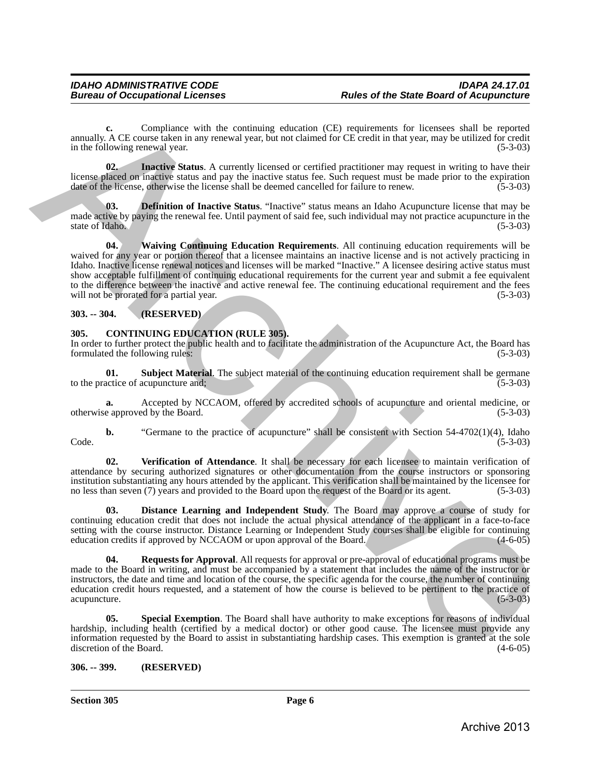**c.** Compliance with the continuing education (CE) requirements for licensees shall be reported annually. A CE course taken in any renewal year, but not claimed for CE credit in that year, may be utilized for credit in the following renewal year. (5-3-03)

**02. Inactive Status**. A currently licensed or certified practitioner may request in writing to have their license placed on inactive status and pay the inactive status fee. Such request must be made prior to the expiration date of the license, otherwise the license shall be deemed cancelled for failure to renew. (5-3-03)

<span id="page-5-8"></span><span id="page-5-7"></span>**03. Definition of Inactive Status**. "Inactive" status means an Idaho Acupuncture license that may be made active by paying the renewal fee. Until payment of said fee, such individual may not practice acupuncture in the state of Idaho. (5-3-03) state of Idaho.

**04. Waiving Continuing Education Requirements**. All continuing education requirements will be waived for any year or portion thereof that a licensee maintains an inactive license and is not actively practicing in Idaho. Inactive license renewal notices and licenses will be marked "Inactive." A licensee desiring active status must show acceptable fulfillment of continuing educational requirements for the current year and submit a fee equivalent to the difference between the inactive and active renewal fee. The continuing educational requirement and the fees will not be prorated for a partial year. (5-3-03) armals A. O. Co. Completes with the continuing education (GD) requirement for licenses shall be reported<br>in the GP complete Satura and the set of the continuing of the set of the set of the set of the set of the set of th

### <span id="page-5-0"></span>**303. -- 304. (RESERVED)**

### <span id="page-5-3"></span><span id="page-5-1"></span>**305. CONTINUING EDUCATION (RULE 305).**

In order to further protect the public health and to facilitate the administration of the Acupuncture Act, the Board has formulated the following rules: (5-3-03)

**01. Subject Material**. The subject material of the continuing education requirement shall be germane actice of acupuncture and: (5-3-03) to the practice of acupuncture and;

**a.** Accepted by NCCAOM, offered by accredited schools of acupuncture and oriental medicine, or otherwise approved by the Board. (5-3-03)

**b.** "Germane to the practice of acupuncture" shall be consistent with Section 54-4702(1)(4), Idaho  $\text{Code.} \tag{5-3-03}$ 

<span id="page-5-6"></span>**02. Verification of Attendance**. It shall be necessary for each licensee to maintain verification of attendance by securing authorized signatures or other documentation from the course instructors or sponsoring institution substantiating any hours attended by the applicant. This verification shall be maintained by the licensee for no less than seven (7) years and provided to the Board upon the request of the Board or its agent. (5-3-03)

<span id="page-5-4"></span>**03. Distance Learning and Independent Study**. The Board may approve a course of study for continuing education credit that does not include the actual physical attendance of the applicant in a face-to-face setting with the course instructor. Distance Learning or Independent Study courses shall be eligible for continuing education credits if approved by NCCAOM or upon approval of the Board. (4-6-05) education credits if approved by NCCAOM or upon approval of the Board.

**04. Requests for Approval**. All requests for approval or pre-approval of educational programs must be made to the Board in writing, and must be accompanied by a statement that includes the name of the instructor or instructors, the date and time and location of the course, the specific agenda for the course, the number of continuing education credit hours requested, and a statement of how the course is believed to be pertinent to the practice of acupuncture. (5-3-03)

<span id="page-5-5"></span>**Special Exemption**. The Board shall have authority to make exceptions for reasons of individual hardship, including health (certified by a medical doctor) or other good cause. The licensee must provide any information requested by the Board to assist in substantiating hardship cases. This exemption is granted at the sole discretion of the Board.

### <span id="page-5-2"></span>**306. -- 399. (RESERVED)**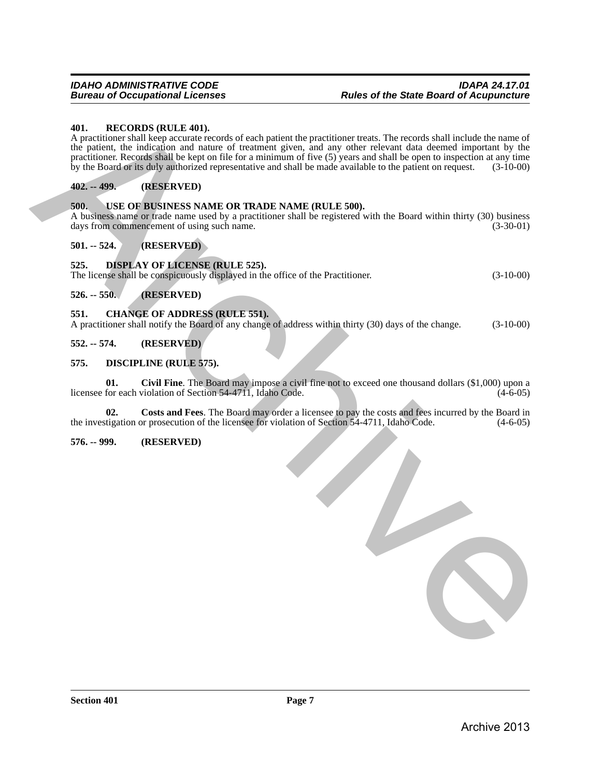#### <span id="page-6-15"></span><span id="page-6-0"></span>**401. RECORDS (RULE 401).**

A practitioner shall keep accurate records of each patient the practitioner treats. The records shall include the name of the patient, the indication and nature of treatment given, and any other relevant data deemed important by the practitioner. Records shall be kept on file for a minimum of five (5) years and shall be open to inspection at any time by the Board or its duly authorized representative and shall be made available to the patient on request. (3-10-00) 401. **EXCOUTS EXCLUSION**<br> **ATCONDISTING THE ARCHIVES**<br>
(the specifical distribution of the stress of any content of the small of the stress of all years and any other televants and the precision of the precision of the sp

### <span id="page-6-1"></span>**402. -- 499. (RESERVED)**

#### <span id="page-6-16"></span><span id="page-6-2"></span>**500. USE OF BUSINESS NAME OR TRADE NAME (RULE 500).**

A business name or trade name used by a practitioner shall be registered with the Board within thirty (30) business days from commencement of using such name. (3-30-01) days from commencement of using such name.

<span id="page-6-3"></span>**501. -- 524. (RESERVED)**

### <span id="page-6-14"></span><span id="page-6-4"></span>**525. DISPLAY OF LICENSE (RULE 525).**

The license shall be conspicuously displayed in the office of the Practitioner. (3-10-00)

<span id="page-6-5"></span>**526. -- 550. (RESERVED)**

#### <span id="page-6-10"></span><span id="page-6-6"></span>**551. CHANGE OF ADDRESS (RULE 551).**

A practitioner shall notify the Board of any change of address within thirty (30) days of the change. (3-10-00)

<span id="page-6-7"></span>**552. -- 574. (RESERVED)**

#### <span id="page-6-11"></span><span id="page-6-8"></span>**575. DISCIPLINE (RULE 575).**

<span id="page-6-12"></span>**01. Civil Fine**. The Board may impose a civil fine not to exceed one thousand dollars (\$1,000) upon a licensee for each violation of Section 54-4711, Idaho Code.

<span id="page-6-13"></span>**02.** Costs and Fees. The Board may order a licensee to pay the costs and fees incurred by the Board in tigation or prosecution of the licensee for violation of Section 54-4711, Idaho Code.  $(4-6-05)$ the investigation or prosecution of the licensee for violation of Section 54-4711, Idaho Code.

#### <span id="page-6-9"></span>**576. -- 999. (RESERVED)**